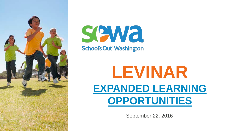



## **LEVINAR EXPANDED LEARNING OPPORTUNITIES**

September 22, 2016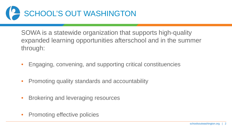

SOWA is a statewide organization that supports high-quality expanded learning opportunities afterschool and in the summer through:

- Engaging, convening, and supporting critical constituencies
- Promoting quality standards and accountability
- Brokering and leveraging resources
- Promoting effective policies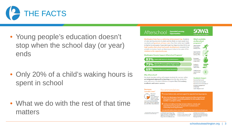

- Young people's education doesn't stop when the school day (or year) ends
- Only 20% of a child's waking hours is spent in school
- What we do with the rest of that time matters



Aftenchool Alliance: Aftenchool Program In Damard (2014) Amatics After Trus

2. Goldschmidt, Huang, & Chinen, 2007; 3. Huang et al., 2011. - Luxus Control Control (2007)<br>Huang, Gribbons, Kim, Lee, & Baker, 2000;<br>Huang, Leon, Harven, La Torre, & Mostafavi 4. Huang et al., 2007a: Huang et al., 2000. 5. Huang, Kim, Marshall, & Perez, 2005. 2009; Huang, Leon, & La Torre, 2011; uang, Leon, La Torre, & Mostafavi, 2008

6. Newman, S.A., et al. America's After-School Choice: The Prime Time for<br>Juvenile Crime, or Youth Enrichment and Achievement, Fight Crime: Invest in Kids,<br>Washington D.C., 2002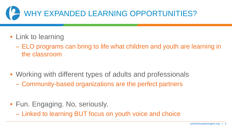

- Link to learning
	- ELO programs can bring to life what children and youth are learning in the classroom
- Working with different types of adults and professionals
	- Community-based organizations are the perfect partners
- Fun. Engaging. No, seriously.
	- Linked to learning BUT focus on youth voice and choice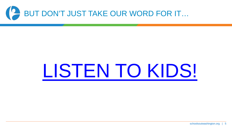

# LISTEN TO KIDS!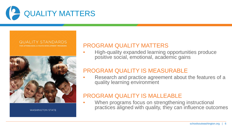

#### **QUALITY STANDARDS** FOR AFTERSCHOOL & YOUTH DEVELOPMENT PROGRAM



**WASHINGTON STATE** 

### PROGRAM QUALITY MATTERS

• High-quality expanded learning opportunities produce positive social, emotional, academic gains

## PROGRAM QUALITY IS MEASURABLE

• Research and practice agreement about the features of a quality learning environment

### PROGRAM QUALITY IS MALLEABLE

• When programs focus on strengthening instructional practices aligned with quality, they can influence outcomes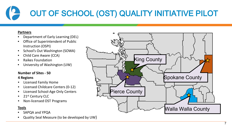## OUT OF SCHOOL (OST) QUALITY INITIATIVE PILOT

#### **Partners**

- Department of Early Learning (DEL)
- Office of Superintendent of Public Instruction (OSPI)
- School's Out Washington (SOWA)
- Child Care Aware (CCA)
- Raikes Foundation
- University of Washington (UW)

#### **Number of Sites - 50**

#### **4 Regions**

- Licensed Family Home
- Licensed Childcare Centers (0-12)
- Licensed School-Age Only Centers
- 21st Century CLC
- Non-licensed OST Programs

#### **Tools**

- SAPQA and YPQA
- Quality Seal Measure (to be developed by UW)

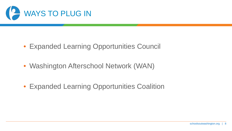

- Expanded Learning Opportunities Council
- Washington Afterschool Network (WAN)
- Expanded Learning Opportunities Coalition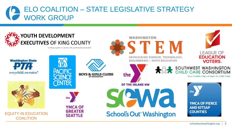## **ELO COALITION - STATE LEGISLATIVE STRATEGY WORK GROUP**

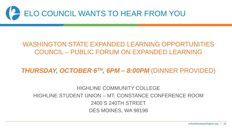

## WASHINGTON STATE EXPANDED LEARNING OPPORTUNITIES COUNCIL – PUBLIC FORUM ON EXPANDED LEARNING

*THURSDAY, OCTOBER 6TH, 6PM – 8:00PM* (DINNER PROVIDED)

HIGHLINE COMMUNITY COLLEGE HIGHLINE STUDENT UNION – MT. CONSTANCE CONFERENCE ROOM 2400 S 240TH STREET DES MOINES, WA 98198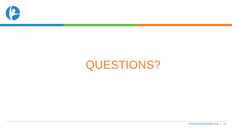

## **QUESTIONS?**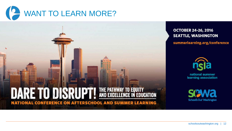



**OCTOBER 24-26, 2016 SEATTLE, WASHINGTON** 

summerlearning.org/conference



**SAWA School's Out** Washington